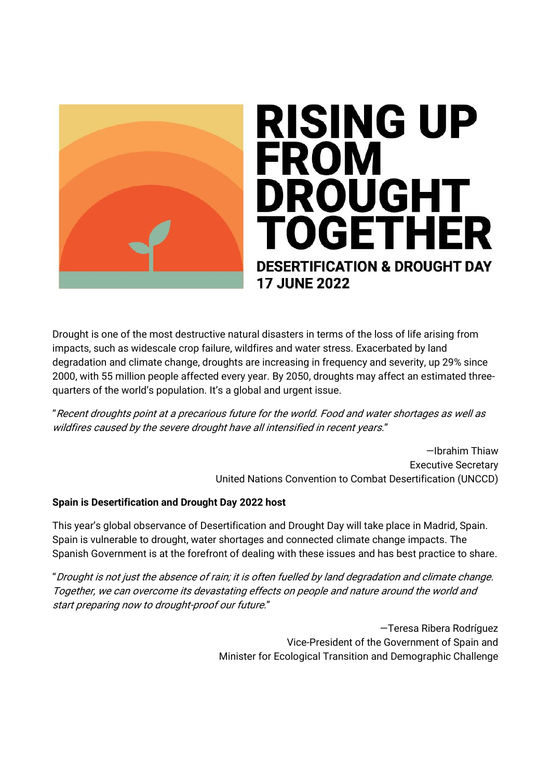

## **RISING UP FROM DROUGHT** TOGETHER **DESERTIFICATION & DROUGHT DAY 17 JUNE 2022**

Drought is one of the most destructive natural disasters in terms of the loss of life arising from impacts, such as widescale crop failure, wildfires and water stress. Exacerbated by land degradation and climate change, droughts are increasing in frequency and severity, up 29% since 2000, with 55 million people affected every year. By 2050, droughts may affect an estimated threequarters of the world's population. It's a global and urgent issue.

"Recent droughts point at a precarious future for the world. Food and water shortages as well as wildfires caused by the severe drought have all intensified in recent years."

> —Ibrahim Thiaw Executive Secretary United Nations Convention to Combat Desertification (UNCCD)

## **Spain is Desertification and Drought Day 2022 host**

This year's global observance of Desertification and Drought Day will take place in Madrid, Spain. Spain is vulnerable to drought, water shortages and connected climate change impacts. The Spanish Government is at the forefront of dealing with these issues and has best practice to share.

"Drought is not just the absence of rain; it is often fuelled by land degradation and climate change. Together, we can overcome its devastating effects on people and nature around the world and start preparing now to drought-proof our future."

> —Teresa Ribera Rodríguez Vice-President of the Government of Spain and Minister for Ecological Transition and Demographic Challenge